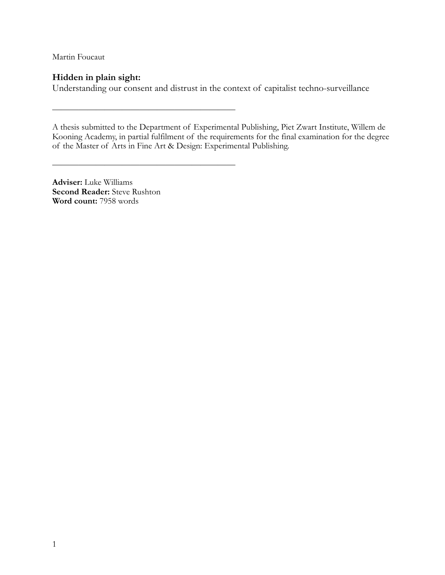Martin Foucaut

## **Hidden in plain sight:**

Understanding our consent and distrust in the context of capitalist techno-surveillance

A thesis submitted to the Department of Experimental Publishing, Piet Zwart Institute, Willem de Kooning Academy, in partial fulfilment of the requirements for the final examination for the degree of the Master of Arts in Fine Art & Design: Experimental Publishing.

**Adviser:** Luke Williams **Second Reader:** Steve Rushton **Word count:** 7958 words

 $\frac{1}{\sqrt{2}}$  , and the contract of the contract of the contract of the contract of the contract of the contract of the contract of the contract of the contract of the contract of the contract of the contract of the contra

 $\frac{1}{\sqrt{2}}$  , and the contract of the contract of the contract of the contract of the contract of the contract of the contract of the contract of the contract of the contract of the contract of the contract of the contra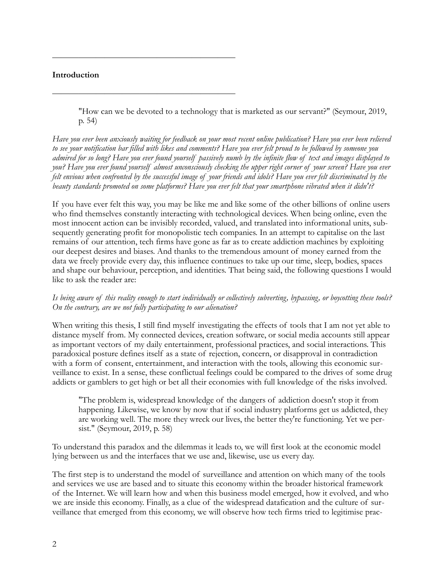#### **Introduction**

 $\frac{1}{\sqrt{2}}$  , and the contract of the contract of the contract of the contract of the contract of the contract of the contract of the contract of the contract of the contract of the contract of the contract of the contra

 $\frac{1}{\sqrt{2}}$  , and the contract of the contract of the contract of the contract of the contract of the contract of the contract of the contract of the contract of the contract of the contract of the contract of the contra

"How can we be devoted to a technology that is marketed as our servant?" (Seymour, 2019, p. 54)

*Have you ever been anxiously waiting for feedback on your most recent online publication? Have you ever been relieved to see your notification bar filled with likes and comments? Have you ever felt proud to be followed by someone you admired for so long? Have you ever found yourself passively numb by the infinite flow of text and images displayed to you? Have you ever found yourself almost unconsciously checking the upper right corner of your screen? Have you ever felt envious when confronted by the successful image of your friends and idols? Have you ever felt discriminated by the beauty standards promoted on some platforms? Have you ever felt that your smartphone vibrated when it didn't?* 

If you have ever felt this way, you may be like me and like some of the other billions of online users who find themselves constantly interacting with technological devices. When being online, even the most innocent action can be invisibly recorded, valued, and translated into informational units, subsequently generating profit for monopolistic tech companies. In an attempt to capitalise on the last remains of our attention, tech firms have gone as far as to create addiction machines by exploiting our deepest desires and biases. And thanks to the tremendous amount of money earned from the data we freely provide every day, this influence continues to take up our time, sleep, bodies, spaces and shape our behaviour, perception, and identities. That being said, the following questions I would like to ask the reader are:

#### *Is being aware of this reality enough to start individually or collectively subverting, bypassing, or boycotting these tools? On the contrary, are we not fully participating to our alienation?*

When writing this thesis, I still find myself investigating the effects of tools that I am not yet able to distance myself from. My connected devices, creation software, or social media accounts still appear as important vectors of my daily entertainment, professional practices, and social interactions. This paradoxical posture defines itself as a state of rejection, concern, or disapproval in contradiction with a form of consent, entertainment, and interaction with the tools, allowing this economic surveillance to exist. In a sense, these conflictual feelings could be compared to the drives of some drug addicts or gamblers to get high or bet all their economies with full knowledge of the risks involved.

"The problem is, widespread knowledge of the dangers of addiction doesn't stop it from happening. Likewise, we know by now that if social industry platforms get us addicted, they are working well. The more they wreck our lives, the better they're functioning. Yet we persist." (Seymour, 2019, p. 58)

To understand this paradox and the dilemmas it leads to, we will first look at the economic model lying between us and the interfaces that we use and, likewise, use us every day.

The first step is to understand the model of surveillance and attention on which many of the tools and services we use are based and to situate this economy within the broader historical framework of the Internet. We will learn how and when this business model emerged, how it evolved, and who we are inside this economy. Finally, as a clue of the widespread datafication and the culture of surveillance that emerged from this economy, we will observe how tech firms tried to legitimise prac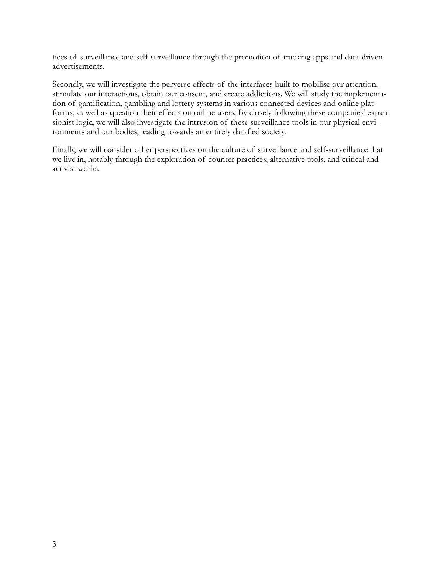tices of surveillance and self-surveillance through the promotion of tracking apps and data-driven advertisements.

Secondly, we will investigate the perverse effects of the interfaces built to mobilise our attention, stimulate our interactions, obtain our consent, and create addictions. We will study the implementation of gamification, gambling and lottery systems in various connected devices and online platforms, as well as question their effects on online users. By closely following these companies' expansionist logic, we will also investigate the intrusion of these surveillance tools in our physical environments and our bodies, leading towards an entirely datafied society.

Finally, we will consider other perspectives on the culture of surveillance and self-surveillance that we live in, notably through the exploration of counter-practices, alternative tools, and critical and activist works.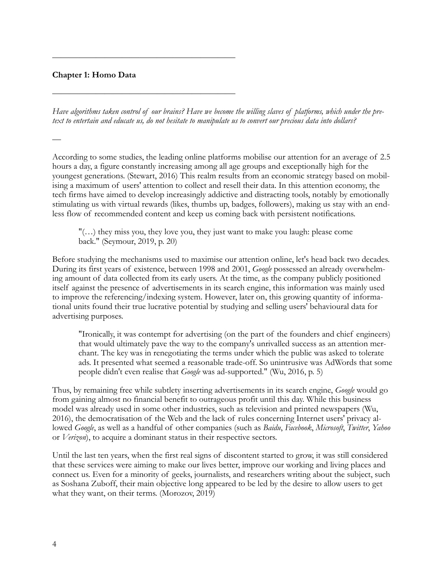### **Chapter 1: Homo Data**

*—*

 $\frac{1}{\sqrt{2}}$  , and the contract of the contract of the contract of the contract of the contract of the contract of the contract of the contract of the contract of the contract of the contract of the contract of the contra

 $\frac{1}{\sqrt{2}}$  , and the contract of the contract of the contract of the contract of the contract of the contract of the contract of the contract of the contract of the contract of the contract of the contract of the contra

*Have algorithms taken control of our brains? Have we become the willing slaves of platforms, which under the pretext to entertain and educate us, do not hesitate to manipulate us to convert our precious data into dollars?*

According to some studies, the leading online platforms mobilise our attention for an average of 2.5 hours a day, a figure constantly increasing among all age groups and exceptionally high for the youngest generations. (Stewart, 2016) This realm results from an economic strategy based on mobilising a maximum of users' attention to collect and resell their data. In this attention economy, the tech firms have aimed to develop increasingly addictive and distracting tools, notably by emotionally stimulating us with virtual rewards (likes, thumbs up, badges, followers), making us stay with an endless flow of recommended content and keep us coming back with persistent notifications.

 $"(...)$  they miss you, they love you, they just want to make you laugh: please come back." (Seymour, 2019, p. 20)

Before studying the mechanisms used to maximise our attention online, let's head back two decades. During its first years of existence, between 1998 and 2001, *Google* possessed an already overwhelming amount of data collected from its early users. At the time, as the company publicly positioned itself against the presence of advertisements in its search engine, this information was mainly used to improve the referencing/indexing system. However, later on, this growing quantity of informational units found their true lucrative potential by studying and selling users' behavioural data for advertising purposes.

"Ironically, it was contempt for advertising (on the part of the founders and chief engineers) that would ultimately pave the way to the company's unrivalled success as an attention merchant. The key was in renegotiating the terms under which the public was asked to tolerate ads. It presented what seemed a reasonable trade-off. So unintrusive was AdWords that some people didn't even realise that *Google* was ad-supported." (Wu, 2016, p. 5)

Thus, by remaining free while subtlety inserting advertisements in its search engine, *Google* would go from gaining almost no financial benefit to outrageous profit until this day. While this business model was already used in some other industries, such as television and printed newspapers (Wu, 2016), the democratisation of the Web and the lack of rules concerning Internet users' privacy allowed *Google*, as well as a handful of other companies (such as *Baidu*, *Facebook*, *Microsoft*, *Twitter*, *Yahoo* or *Verizon*), to acquire a dominant status in their respective sectors.

Until the last ten years, when the first real signs of discontent started to grow, it was still considered that these services were aiming to make our lives better, improve our working and living places and connect us. Even for a minority of geeks, journalists, and researchers writing about the subject, such as Soshana Zuboff, their main objective long appeared to be led by the desire to allow users to get what they want, on their terms. (Morozov, 2019)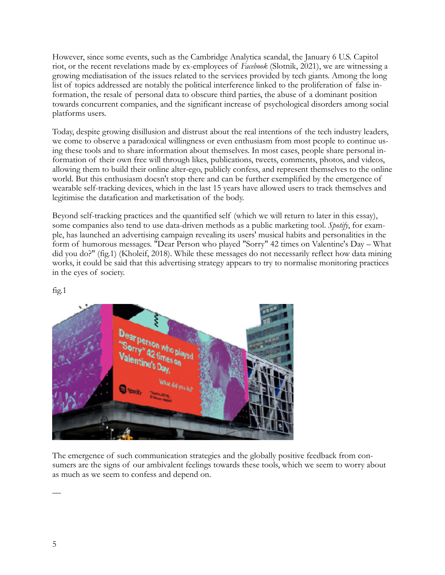However, since some events, such as the Cambridge Analytica scandal, the January 6 U.S. Capitol riot, or the recent revelations made by ex-employees of *Facebook* (Slotnik, 2021), we are witnessing a growing mediatisation of the issues related to the services provided by tech giants. Among the long list of topics addressed are notably the political interference linked to the proliferation of false information, the resale of personal data to obscure third parties, the abuse of a dominant position towards concurrent companies, and the significant increase of psychological disorders among social platforms users.

Today, despite growing disillusion and distrust about the real intentions of the tech industry leaders, we come to observe a paradoxical willingness or even enthusiasm from most people to continue using these tools and to share information about themselves. In most cases, people share personal information of their own free will through likes, publications, tweets, comments, photos, and videos, allowing them to build their online alter-ego, publicly confess, and represent themselves to the online world. But this enthusiasm doesn't stop there and can be further exemplified by the emergence of wearable self-tracking devices, which in the last 15 years have allowed users to track themselves and legitimise the datafication and marketisation of the body.

Beyond self-tracking practices and the quantified self (which we will return to later in this essay), some companies also tend to use data-driven methods as a public marketing tool. *Spotify*, for example, has launched an advertising campaign revealing its users' musical habits and personalities in the form of humorous messages. "Dear Person who played "Sorry" 42 times on Valentine's Day – What did you do?" (fig.1) (Kholeif, 2018). While these messages do not necessarily reflect how data mining works, it could be said that this advertising strategy appears to try to normalise monitoring practices in the eyes of society.



The emergence of such communication strategies and the globally positive feedback from consumers are the signs of our ambivalent feelings towards these tools, which we seem to worry about as much as we seem to confess and depend on.

fig.1

—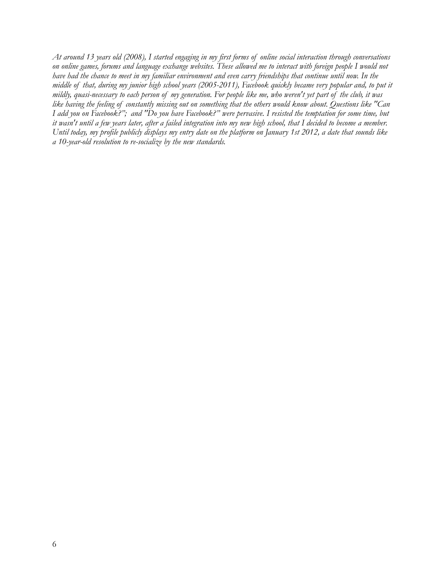*At around 13 years old (2008), I started engaging in my first forms of online social interaction through conversations on online games, forums and language exchange websites. These allowed me to interact with foreign people I would not have had the chance to meet in my familiar environment and even carry friendships that continue until now. In the middle of that, during my junior high school years (2005-2011), Facebook quickly became very popular and, to put it mildly, quasi-necessary to each person of my generation. For people like me, who weren't yet part of the club, it was like having the feeling of constantly missing out on something that the others would know about. Questions like "Can I add you on Facebook?"; and "Do you have Facebook?" were pervasive. I resisted the temptation for some time, but it wasn't until a few years later, after a failed integration into my new high school, that I decided to become a member. Until today, my profile publicly displays my entry date on the platform on January 1st 2012, a date that sounds like a 10-year-old resolution to re-socialize by the new standards.*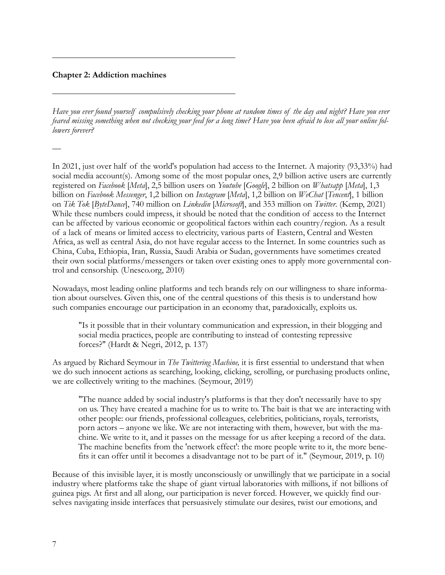#### **Chapter 2: Addiction machines**

—

 $\frac{1}{\sqrt{2}}$  , and the contract of the contract of the contract of the contract of the contract of the contract of the contract of the contract of the contract of the contract of the contract of the contract of the contra

 $\frac{1}{\sqrt{2}}$  , and the contract of the contract of the contract of the contract of the contract of the contract of the contract of the contract of the contract of the contract of the contract of the contract of the contra

*Have you ever found yourself compulsively checking your phone at random times of the day and night? Have you ever feared missing something when not checking your feed for a long time? Have you been afraid to lose all your online followers forever?* 

In 2021, just over half of the world's population had access to the Internet. A majority (93,33%) had social media account(s). Among some of the most popular ones, 2,9 billion active users are currently registered on *Facebook* [*Meta*], 2,5 billion users on *Youtube* [*Google*], 2 billion on *Whatsapp* [*Meta*], 1,3 billion on *Facebook Messenger*, 1,2 billion on *Instagram* [*Meta*], 1,2 billion on *WeChat* [*Tencent*], 1 billion on *Tik Tok* [*[ByteDance](https://en.wikipedia.org/wiki/ByteDance)*], 740 million on *Linkedin* [*Microsoft*], and 353 million on *Twitter*. (Kemp, 2021) While these numbers could impress, it should be noted that the condition of access to the Internet can be affected by various economic or geopolitical factors within each country/region. As a result of a lack of means or limited access to electricity, various parts of Eastern, Central and Westen Africa, as well as central Asia, do not have regular access to the Internet. In some countries such as China, Cuba, Ethiopia, Iran, Russia, Saudi Arabia or Sudan, governments have sometimes created their own social platforms/messengers or taken over existing ones to apply more governmental control and censorship. (Unesco.org, 2010)

Nowadays, most leading online platforms and tech brands rely on our willingness to share information about ourselves. Given this, one of the central questions of this thesis is to understand how such companies encourage our participation in an economy that, paradoxically, exploits us.

"Is it possible that in their voluntary communication and expression, in their blogging and social media practices, people are contributing to instead of contesting repressive forces?" (Hardt & Negri, 2012, p. 137)

As argued by Richard Seymour in *The Twittering Machine,* it is first essential to understand that when we do such innocent actions as searching, looking, clicking, scrolling, or purchasing products online, we are collectively writing to the machines. (Seymour, 2019)

"The nuance added by social industry's platforms is that they don't necessarily have to spy on us. They have created a machine for us to write to. The bait is that we are interacting with other people: our friends, professional colleagues, celebrities, politicians, royals, terrorists, porn actors – anyone we like. We are not interacting with them, however, but with the machine. We write to it, and it passes on the message for us after keeping a record of the data. The machine benefits from the 'network effect': the more people write to it, the more benefits it can offer until it becomes a disadvantage not to be part of it." (Seymour, 2019, p. 10)

Because of this invisible layer, it is mostly unconsciously or unwillingly that we participate in a social industry where platforms take the shape of giant virtual laboratories with millions, if not billions of guinea pigs. At first and all along, our participation is never forced. However, we quickly find ourselves navigating inside interfaces that persuasively stimulate our desires, twist our emotions, and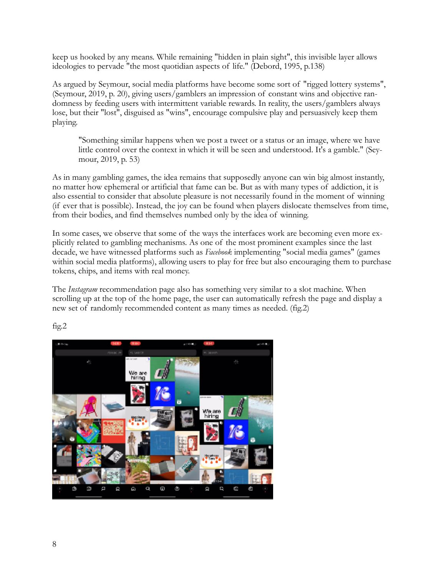keep us hooked by any means. While remaining "hidden in plain sight", this invisible layer allows ideologies to pervade "the most quotidian aspects of life." (Debord, 1995, p.138)

As argued by Seymour, social media platforms have become some sort of "rigged lottery systems", (Seymour, 2019, p. 20), giving users/gamblers an impression of constant wins and objective randomness by feeding users with intermittent variable rewards. In reality, the users/gamblers always lose, but their "lost", disguised as "wins", encourage compulsive play and persuasively keep them playing.

"Something similar happens when we post a tweet or a status or an image, where we have little control over the context in which it will be seen and understood. It's a gamble." (Seymour, 2019, p. 53)

As in many gambling games, the idea remains that supposedly anyone can win big almost instantly, no matter how ephemeral or artificial that fame can be. But as with many types of addiction, it is also essential to consider that absolute pleasure is not necessarily found in the moment of winning (if ever that is possible). Instead, the joy can be found when players dislocate themselves from time, from their bodies, and find themselves numbed only by the idea of winning.

In some cases, we observe that some of the ways the interfaces work are becoming even more explicitly related to gambling mechanisms. As one of the most prominent examples since the last decade, we have witnessed platforms such as *Facebook* implementing "social media games" (games within social media platforms), allowing users to play for free but also encouraging them to purchase tokens, chips, and items with real money.

The *Instagram* recommendation page also has something very similar to a slot machine. When scrolling up at the top of the home page, the user can automatically refresh the page and display a new set of randomly recommended content as many times as needed. (fig.2)



fig.2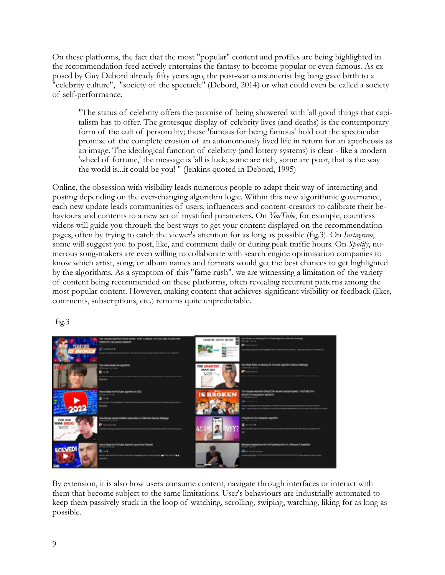On these platforms, the fact that the most "popular" content and profiles are being highlighted in the recommendation feed actively entertains the fantasy to become popular or even famous. As exposed by Guy Debord already fifty years ago, the post-war consumerist big bang gave birth to a "celebrity culture", "society of the spectacle" (Debord, 2014) or what could even be called a society of self-performance.

"The status of celebrity offers the promise of being showered with 'all good things that capitalism has to offer. The grotesque display of celebrity lives (and deaths) is the contemporary form of the cult of personality; those 'famous for being famous' hold out the spectacular promise of the complete erosion of an autonomously lived life in return for an apotheosis as an image. The ideological function of celebrity (and lottery systems) is clear - like a modern 'wheel of fortune,' the message is 'all is luck; some are rich, some are poor, that is the way the world is...it could be you! " (Jenkins quoted in Debord, 1995)

Online, the obsession with visibility leads numerous people to adapt their way of interacting and posting depending on the ever-changing algorithm logic. Within this new algorithmic governance, each new update leads communities of users, influencers and content-creators to calibrate their behaviours and contents to a new set of mystified parameters. On *YouTube*, for example, countless videos will guide you through the best ways to get your content displayed on the recommendation pages, often by trying to catch the viewer's attention for as long as possible (fig.3). On *Instagram*, some will suggest you to post, like, and comment daily or during peak traffic hours. On *Spotify*, numerous song-makers are even willing to collaborate with search engine optimisation companies to know which artist, song, or album names and formats would get the best chances to get highlighted by the algorithms. As a symptom of this "fame rush", we are witnessing a limitation of the variety of content being recommended on these platforms, often revealing recurrent patterns among the most popular content. However, making content that achieves significant visibility or feedback (likes, comments, subscriptions, etc.) remains quite unpredictable.



fig.3

By extension, it is also how users consume content, navigate through interfaces or interact with them that become subject to the same limitations. User's behaviours are industrially automated to keep them passively stuck in the loop of watching, scrolling, swiping, watching, liking for as long as possible.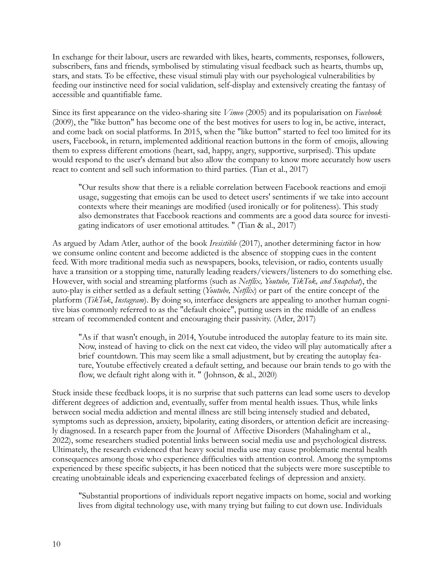In exchange for their labour, users are rewarded with likes, hearts, comments, responses, followers, subscribers, fans and friends, symbolised by stimulating visual feedback such as hearts, thumbs up, stars, and stats. To be effective, these visual stimuli play with our psychological vulnerabilities by feeding our instinctive need for social validation, self-display and extensively creating the fantasy of accessible and quantifiable fame.

Since its first appearance on the video-sharing site *Vimeo* (2005) and its popularisation on *Facebook* (2009), the "like button" has become one of the best motives for users to log in, be active, interact, and come back on social platforms. In 2015, when the "like button" started to feel too limited for its users, Facebook, in return, implemented additional reaction buttons in the form of emojis, allowing them to express different emotions (heart, sad, happy, angry, supportive, surprised). This update would respond to the user's demand but also allow the company to know more accurately how users react to content and sell such information to third parties. (Tian et al., 2017)

"Our results show that there is a reliable correlation between Facebook reactions and emoji usage, suggesting that emojis can be used to detect users' sentiments if we take into account contexts where their meanings are modified (used ironically or for politeness). This study also demonstrates that Facebook reactions and comments are a good data source for investigating indicators of user emotional attitudes. " (Tian & al., 2017)

As argued by Adam Atler, author of the book *Iresistible* (2017), another determining factor in how we consume online content and become addicted is the absence of stopping cues in the content feed. With more traditional media such as newspapers, books, television, or radio, contents usually have a transition or a stopping time, naturally leading readers/viewers/listeners to do something else. However, with social and streaming platforms (such as *Netflix, Youtube, TikTok, and Snapchat*), the auto-play is either settled as a default setting (*Youtube, Netflix*) or part of the entire concept of the platform (*TikTok*, *Instagram*). By doing so, interface designers are appealing to another human cognitive bias commonly referred to as the "default choice", putting users in the middle of an endless stream of recommended content and encouraging their passivity. (Atler, 2017)

"As if that wasn't enough, in 2014, Youtube introduced the autoplay feature to its main site. Now, instead of having to click on the next cat video, the video will play automatically after a brief countdown. This may seem like a small adjustment, but by creating the autoplay feature, Youtube effectively created a default setting, and because our brain tends to go with the flow, we default right along with it. " (Johnson, & al., 2020)

Stuck inside these feedback loops, it is no surprise that such patterns can lead some users to develop different degrees of addiction and, eventually, suffer from mental health issues. Thus, while links between social media addiction and mental illness are still being intensely studied and debated, symptoms such as depression, anxiety, bipolarity, eating disorders, or attention deficit are increasingly diagnosed. In a research paper from the Journal of Affective Disorders (Mahalingham et al., 2022), some researchers studied potential links between social media use and psychological distress. Ultimately, the research evidenced that heavy social media use may cause problematic mental health consequences among those who experience difficulties with attention control. Among the symptoms experienced by these specific subjects, it has been noticed that the subjects were more susceptible to creating unobtainable ideals and experiencing exacerbated feelings of depression and anxiety.

"Substantial proportions of individuals report negative impacts on home, social and working lives from digital technology use, with many trying but failing to cut down use. Individuals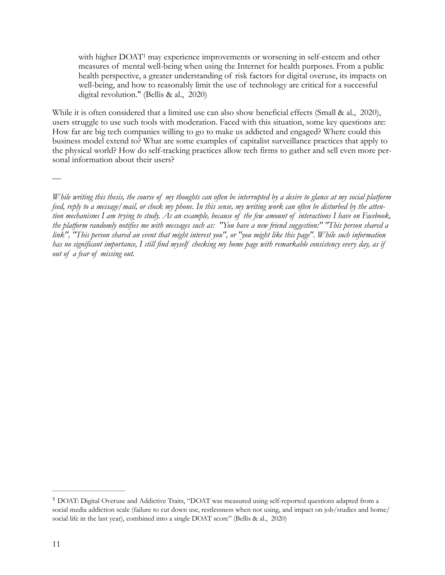<span id="page-10-1"></span>withhigher  $DOAT<sup>1</sup>$  $DOAT<sup>1</sup>$  $DOAT<sup>1</sup>$  may experience improvements or worsening in self-esteem and other measures of mental well-being when using the Internet for health purposes. From a public health perspective, a greater understanding of risk factors for digital overuse, its impacts on well-being, and how to reasonably limit the use of technology are critical for a successful digital revolution." (Bellis & al., 2020)

While it is often considered that a limited use can also show beneficial effects (Small & al., 2020), users struggle to use such tools with moderation. Faced with this situation, some key questions are: How far are big tech companies willing to go to make us addicted and engaged? Where could this business model extend to? What are some examples of capitalist surveillance practices that apply to the physical world? How do self-tracking practices allow tech firms to gather and sell even more personal information about their users?

*While writing this thesis, the course of my thoughts can often be interrupted by a desire to glance at my social platform feed, reply to a message/mail, or check my phone. In this sense, my writing work can often be disturbed by the attention mechanisms I am trying to study. As an example, because of the few amount of interactions I have on Facebook, the platform randomly notifies me with messages such as: "You have a new friend suggestion:" "This person shared a link", "This person shared an event that might interest you", or "you might like this page". While such information has no significant importance, I still find myself checking my home page with remarkable consistency every day, as if out of a fear of missing out.* 

—

<span id="page-10-0"></span>DOAT: Digital Overuse and Addictive Traits, "DOAT was measured using self-reported questions adapted from a [1](#page-10-1) social media addiction scale (failure to cut down use, restlessness when not using, and impact on job/studies and home/ social life in the last year), combined into a single DOAT score" (Bellis & al., 2020)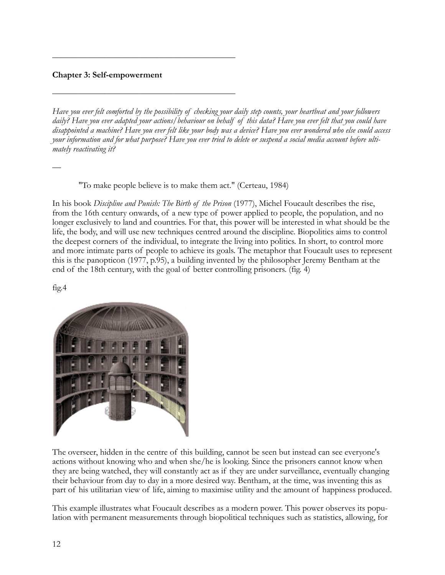### **Chapter 3: Self-empowerment**

 $\frac{1}{\sqrt{2}}$  , and the contract of the contract of the contract of the contract of the contract of the contract of the contract of the contract of the contract of the contract of the contract of the contract of the contra

 $\frac{1}{\sqrt{2}}$  , and the contract of the contract of the contract of the contract of the contract of the contract of the contract of the contract of the contract of the contract of the contract of the contract of the contra

*Have you ever felt comforted by the possibility of checking your daily step counts, your heartbeat and your followers daily? Have you ever adapted your actions/behaviour on behalf of this data? Have you ever felt that you could have disappointed a machine? Have you ever felt like your body was a device? Have you ever wondered who else could access your information and for what purpose? Have you ever tried to delete or suspend a social media account before ultimately reactivating it?*

"To make people believe is to make them act." (Certeau, 1984)

In his book *Discipline and Punish: The Birth of the Prison* (1977), Michel Foucault describes the rise, from the 16th century onwards, of a new type of power applied to people, the population, and no longer exclusively to land and countries. For that, this power will be interested in what should be the life, the body, and will use new techniques centred around the discipline. Biopolitics aims to control the deepest corners of the individual, to integrate the living into politics. In short, to control more and more intimate parts of people to achieve its goals. The metaphor that Foucault uses to represent this is the panopticon (1977, p.95), a building invented by the philosopher Jeremy Bentham at the end of the 18th century, with the goal of better controlling prisoners. (fig. 4)

fig.4

—



The overseer, hidden in the centre of this building, cannot be seen but instead can see everyone's actions without knowing who and when she/he is looking. Since the prisoners cannot know when they are being watched, they will constantly act as if they are under surveillance, eventually changing their behaviour from day to day in a more desired way. Bentham, at the time, was inventing this as part of his utilitarian view of life, aiming to maximise utility and the amount of happiness produced.

This example illustrates what Foucault describes as a modern power. This power observes its population with permanent measurements through biopolitical techniques such as statistics, allowing, for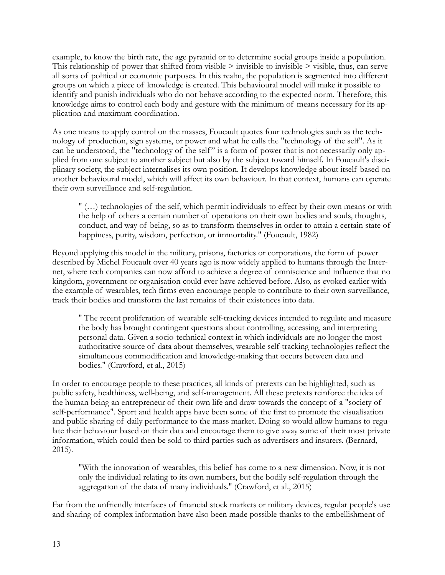example, to know the birth rate, the age pyramid or to determine social groups inside a population. This relationship of power that shifted from visible  $>$  invisible to invisible  $>$  visible, thus, can serve all sorts of political or economic purposes. In this realm, the population is segmented into different groups on which a piece of knowledge is created. This behavioural model will make it possible to identify and punish individuals who do not behave according to the expected norm. Therefore, this knowledge aims to control each body and gesture with the minimum of means necessary for its application and maximum coordination.

As one means to apply control on the masses, Foucault quotes four technologies such as the technology of production, sign systems, or power and what he calls the "technology of the self". As it can be understood, the "technology of the self" is a form of power that is not necessarily only applied from one subject to another subject but also by the subject toward himself. In Foucault's disciplinary society, the subject internalises its own position. It develops knowledge about itself based on another behavioural model, which will affect its own behaviour. In that context, humans can operate their own surveillance and self-regulation.

" (…) technologies of the self, which permit individuals to effect by their own means or with the help of others a certain number of operations on their own bodies and souls, thoughts, conduct, and way of being, so as to transform themselves in order to attain a certain state of happiness, purity, wisdom, perfection, or immortality." (Foucault, 1982)

Beyond applying this model in the military, prisons, factories or corporations, the form of power described by Michel Foucault over 40 years ago is now widely applied to humans through the Internet, where tech companies can now afford to achieve a degree of omniscience and influence that no kingdom, government or organisation could ever have achieved before. Also, as evoked earlier with the example of wearables, tech firms even encourage people to contribute to their own surveillance, track their bodies and transform the last remains of their existences into data.

" The recent proliferation of wearable self-tracking devices intended to regulate and measure the body has brought contingent questions about controlling, accessing, and interpreting personal data. Given a socio-technical context in which individuals are no longer the most authoritative source of data about themselves, wearable self-tracking technologies reflect the simultaneous commodification and knowledge-making that occurs between data and bodies." (Crawford, et al., 2015)

In order to encourage people to these practices, all kinds of pretexts can be highlighted, such as public safety, healthiness, well-being, and self-management. All these pretexts reinforce the idea of the human being an entrepreneur of their own life and draw towards the concept of a "society of self-performance". Sport and health apps have been some of the first to promote the visualisation and public sharing of daily performance to the mass market. Doing so would allow humans to regulate their behaviour based on their data and encourage them to give away some of their most private information, which could then be sold to third parties such as advertisers and insurers. (Bernard, 2015).

"With the innovation of wearables, this belief has come to a new dimension. Now, it is not only the individual relating to its own numbers, but the bodily self-regulation through the aggregation of the data of many individuals." (Crawford, et al., 2015)

Far from the unfriendly interfaces of financial stock markets or military devices, regular people's use and sharing of complex information have also been made possible thanks to the embellishment of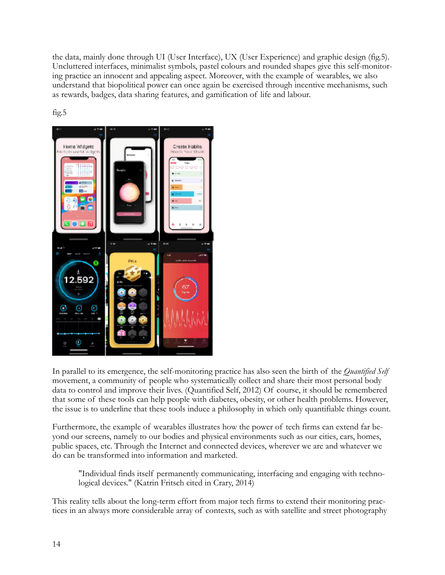the data, mainly done through UI (User Interface), UX (User Experience) and graphic design (fig.5). Uncluttered interfaces, minimalist symbols, pastel colours and rounded shapes give this self-monitoring practice an innocent and appealing aspect. Moreover, with the example of wearables, we also understand that biopolitical power can once again be exercised through incentive mechanisms, such as rewards, badges, data sharing features, and gamification of life and labour.



fig.5

In parallel to its emergence, the self-monitoring practice has also seen the birth of the *Quantified Self* movement, a community of people who systematically collect and share their most personal body data to control and improve their lives. (Quantified Self, 2012) Of course, it should be remembered that some of these tools can help people with diabetes, obesity, or other health problems. However, the issue is to underline that these tools induce a philosophy in which only quantifiable things count.

Furthermore, the example of wearables illustrates how the power of tech firms can extend far beyond our screens, namely to our bodies and physical environments such as our cities, cars, homes, public spaces, etc. Through the Internet and connected devices, wherever we are and whatever we do can be transformed into information and marketed.

"Individual finds itself permanently communicating, interfacing and engaging with technological devices." (Katrin Fritsch cited in Crary, 2014)

This reality tells about the long-term effort from major tech firms to extend their monitoring practices in an always more considerable array of contexts, such as with satellite and street photography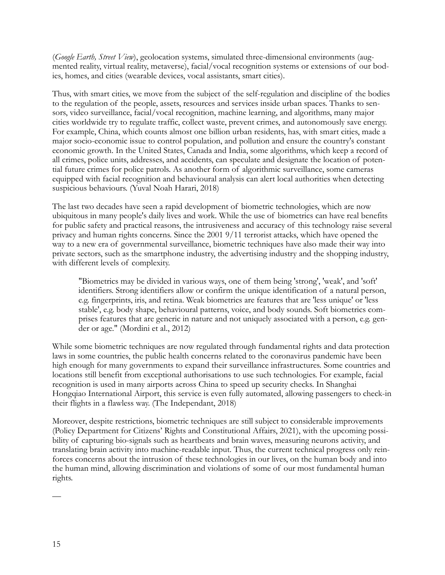(*Google Earth, Street View*), geolocation systems, simulated three-dimensional environments (augmented reality, virtual reality, metaverse), facial/vocal recognition systems or extensions of our bodies, homes, and cities (wearable devices, vocal assistants, smart cities).

Thus, with smart cities, we move from the subject of the self-regulation and discipline of the bodies to the regulation of the people, assets, resources and services inside urban spaces. Thanks to sensors, video surveillance, facial/vocal recognition, machine learning, and algorithms, many major cities worldwide try to regulate traffic, collect waste, prevent crimes, and autonomously save energy. For example, China, which counts almost one billion urban residents, has, with smart cities, made a major socio-economic issue to control population, and pollution and ensure the country's constant economic growth. In the United States, Canada and India, some algorithms, which keep a record of all crimes, police units, addresses, and accidents, can speculate and designate the location of potential future crimes for police patrols. As another form of algorithmic surveillance, some cameras equipped with facial recognition and behavioural analysis can alert local authorities when detecting suspicious behaviours. (Yuval Noah Harari, 2018)

The last two decades have seen a rapid development of biometric technologies, which are now ubiquitous in many people's daily lives and work. While the use of biometrics can have real benefits for public safety and practical reasons, the intrusiveness and accuracy of this technology raise several privacy and human rights concerns. Since the 2001 9/11 terrorist attacks, which have opened the way to a new era of governmental surveillance, biometric techniques have also made their way into private sectors, such as the smartphone industry, the advertising industry and the shopping industry, with different levels of complexity.

"Biometrics may be divided in various ways, one of them being 'strong', 'weak', and 'soft' identifiers. Strong identifiers allow or confirm the unique identification of a natural person, e.g. fingerprints, iris, and retina. Weak biometrics are features that are 'less unique' or 'less stable', e.g. body shape, behavioural patterns, voice, and body sounds. Soft biometrics comprises features that are generic in nature and not uniquely associated with a person, e.g. gender or age." (Mordini et al., 2012)

While some biometric techniques are now regulated through fundamental rights and data protection laws in some countries, the public health concerns related to the coronavirus pandemic have been high enough for many governments to expand their surveillance infrastructures. Some countries and locations still benefit from exceptional authorisations to use such technologies. For example, facial recognition is used in many airports across China to speed up security checks. In Shanghai Hongqiao International Airport, this service is even fully automated, allowing passengers to check-in their flights in a flawless way. (The Independant, 2018)

Moreover, despite restrictions, biometric techniques are still subject to considerable improvements (Policy Department for Citizens' Rights and Constitutional Affairs, 2021), with the upcoming possibility of capturing bio-signals such as heartbeats and brain waves, measuring neurons activity, and translating brain activity into machine-readable input. Thus, the current technical progress only reinforces concerns about the intrusion of these technologies in our lives, on the human body and into the human mind, allowing discrimination and violations of some of our most fundamental human rights.

—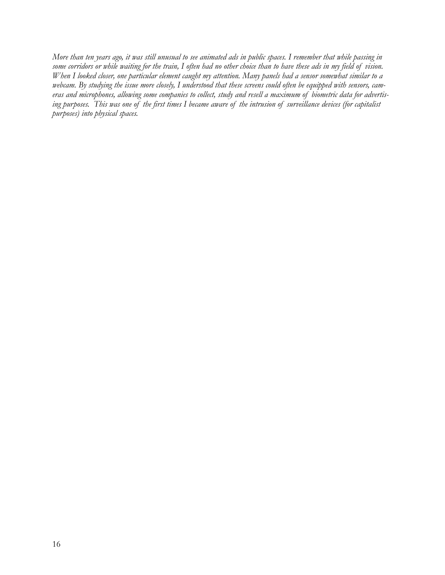*More than ten years ago, it was still unusual to see animated ads in public spaces. I remember that while passing in some corridors or while waiting for the train, I often had no other choice than to have these ads in my field of vision. When I looked closer, one particular element caught my attention. Many panels had a sensor somewhat similar to a webcam. By studying the issue more closely, I understood that these screens could often be equipped with sensors, cameras and microphones, allowing some companies to collect, study and resell a maximum of biometric data for advertising purposes. This was one of the first times I became aware of the intrusion of surveillance devices (for capitalist purposes) into physical spaces.*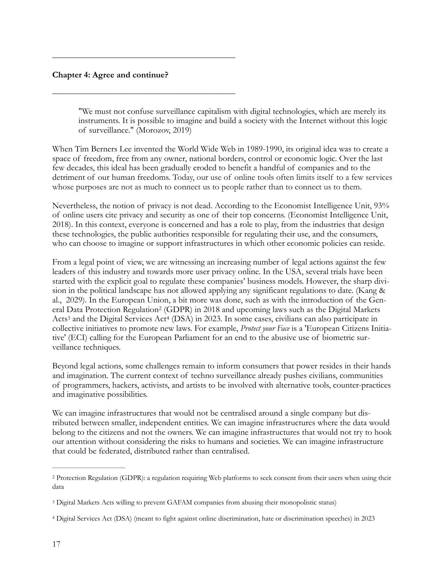#### **Chapter 4: Agree and continue?**

 $\frac{1}{\sqrt{2}}$  , and the contract of the contract of the contract of the contract of the contract of the contract of the contract of the contract of the contract of the contract of the contract of the contract of the contra

 $\frac{1}{\sqrt{2}}$  , and the contract of the contract of the contract of the contract of the contract of the contract of the contract of the contract of the contract of the contract of the contract of the contract of the contra

"We must not confuse surveillance capitalism with digital technologies, which are merely its instruments. It is possible to imagine and build a society with the Internet without this logic of surveillance." (Morozov, 2019)

When Tim Berners Lee invented the World Wide Web in 1989-1990, its original idea was to create a space of freedom, free from any owner, national borders, control or economic logic. Over the last few decades, this ideal has been gradually eroded to benefit a handful of companies and to the detriment of our human freedoms. Today, our use of online tools often limits itself to a few services whose purposes are not as much to connect us to people rather than to connect us to them.

Nevertheless, the notion of privacy is not dead. According to the Economist Intelligence Unit, 93% of online users cite privacy and security as one of their top concerns. (Economist Intelligence Unit, 2018). In this context, everyone is concerned and has a role to play, from the industries that design these technologies, the public authorities responsible for regulating their use, and the consumers, who can choose to imagine or support infrastructures in which other economic policies can reside.

<span id="page-16-3"></span>From a legal point of view, we are witnessing an increasing number of legal actions against the few leaders of this industry and towards more user privacy online. In the USA, several trials have been started with the explicit goal to regulate these companies' business models. However, the sharp division in the political landscape has not allowed applying any significant regulations to date. (Kang & al., 2029). In the European Union, a bit more was done, such as with the introduction of the Gen-eral Data Protection Regulation<sup>[2](#page-16-0)</sup> (GDPR) in 2018 and upcoming laws such as the Digital Markets Acts<sup>3</sup>and the Digital Services Act<sup>4</sup> (DSA) in 202[3](#page-16-1). In some cases, civilians can also participate in collective initiatives to promote new laws. For example, *Protect your Face* is a 'European Citizens Initiative' (ECI) calling for the European Parliament for an end to the abusive use of biometric surveillance techniques.

<span id="page-16-5"></span><span id="page-16-4"></span>Beyond legal actions, some challenges remain to inform consumers that power resides in their hands and imagination. The current context of techno surveillance already pushes civilians, communities of programmers, hackers, activists, and artists to be involved with alternative tools, counter-practices and imaginative possibilities.

We can imagine infrastructures that would not be centralised around a single company but distributed between smaller, independent entities. We can imagine infrastructures where the data would belong to the citizens and not the owners. We can imagine infrastructures that would not try to hook our attention without considering the risks to humans and societies. We can imagine infrastructure that could be federated, distributed rather than centralised.

<span id="page-16-0"></span><sup>&</sup>lt;sup>[2](#page-16-3)</sup> Protection Regulation (GDPR): a regulation requiring Web platforms to seek consent from their users when using their data

<span id="page-16-1"></span>Digital Markets Acts willing to prevent GAFAM companies from abusing their monopolistic status) [3](#page-16-4)

<span id="page-16-2"></span>[<sup>4</sup>](#page-16-5) Digital Services Act (DSA) (meant to fight against online discrimination, hate or discrimination speeches) in 2023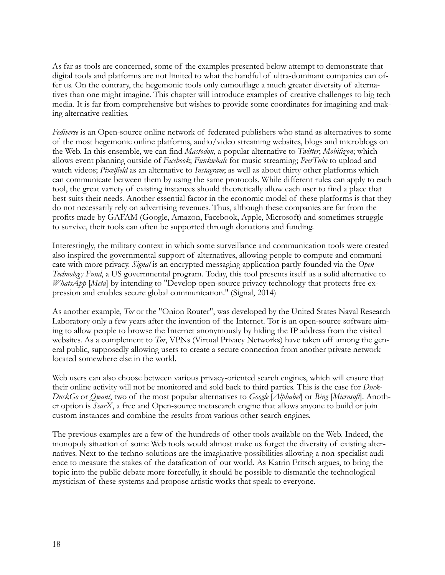As far as tools are concerned, some of the examples presented below attempt to demonstrate that digital tools and platforms are not limited to what the handful of ultra-dominant companies can offer us. On the contrary, the hegemonic tools only camouflage a much greater diversity of alternatives than one might imagine. This chapter will introduce examples of creative challenges to big tech media. It is far from comprehensive but wishes to provide some coordinates for imagining and making alternative realities.

*Fediverse* is an Open-source online network of federated publishers who stand as alternatives to some of the most hegemonic online platforms, audio/video streaming websites, blogs and microblogs on the Web. In this ensemble, we can find *Mastodon*, a popular alternative to *Twitter*; *Mobilizon*; which allows event planning outside of *Facebook*; *Funkwhale* for music streaming; *PeerTube* to upload and watch videos; *Pixelfield* as an alternative to *Instagram*; as well as about thirty other platforms which can communicate between them by using the same protocols. While different rules can apply to each tool, the great variety of existing instances should theoretically allow each user to find a place that best suits their needs. Another essential factor in the economic model of these platforms is that they do not necessarily rely on advertising revenues. Thus, although these companies are far from the profits made by GAFAM (Google, Amazon, Facebook, Apple, Microsoft) and sometimes struggle to survive, their tools can often be supported through donations and funding.

Interestingly, the military context in which some surveillance and communication tools were created also inspired the governmental support of alternatives, allowing people to compute and communicate with more privacy. *Signal* is an encrypted messaging application partly founded via the *Open Technology Fund*, a US governmental program*.* Today, this tool presents itself as a solid alternative to *WhatsApp* [*Meta*] by intending to "Develop open-source privacy technology that protects free expression and enables secure global communication." (Signal, 2014)

As another example, *Tor* or the "Onion Router", was developed by the United States Naval Research Laboratory only a few years after the invention of the Internet. Tor is an open-source software aiming to allow people to browse the Internet anonymously by hiding the IP address from the visited websites. As a complement to *Tor*, VPNs (Virtual Privacy Networks) have taken off among the general public, supposedly allowing users to create a secure connection from another private network located somewhere else in the world.

Web users can also choose between various privacy-oriented search engines, which will ensure that their online activity will not be monitored and sold back to third parties. This is the case for *Duck-DuckGo* or *Qwant*, two of the most popular alternatives to *Google* [*Alphabet*] or *Bing* [*Microsoft*]. Another option is *SearX*, a free and Open-source metasearch engine that allows anyone to build or join custom instances and combine the results from various other search engines.

The previous examples are a few of the hundreds of other tools available on the Web. Indeed, the monopoly situation of some Web tools would almost make us forget the diversity of existing alternatives. Next to the techno-solutions are the imaginative possibilities allowing a non-specialist audience to measure the stakes of the datafication of our world. As Katrin Fritsch argues, to bring the topic into the public debate more forcefully, it should be possible to dismantle the technological mysticism of these systems and propose artistic works that speak to everyone.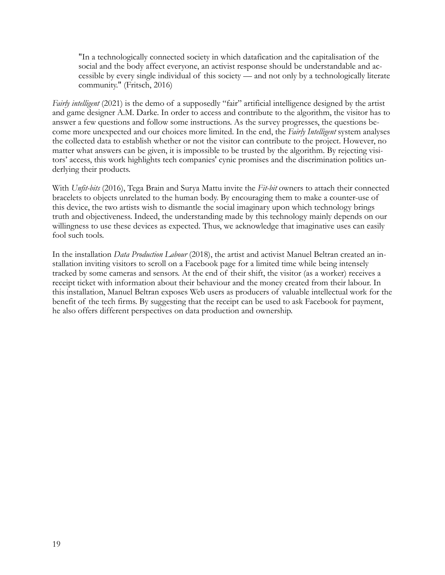"In a technologically connected society in which datafication and the capitalisation of the social and the body affect everyone, an activist response should be understandable and accessible by every single individual of this society — and not only by a technologically literate community." (Fritsch, 2016)

*Fairly intelligent* (2021) is the demo of a supposedly "fair" artificial intelligence designed by the artist and game designer A.M. Darke. In order to access and contribute to the algorithm, the visitor has to answer a few questions and follow some instructions. As the survey progresses, the questions become more unexpected and our choices more limited. In the end, the *Fairly Intelligent* system analyses the collected data to establish whether or not the visitor can contribute to the project. However, no matter what answers can be given, it is impossible to be trusted by the algorithm. By rejecting visitors' access, this work highlights tech companies' cynic promises and the discrimination politics underlying their products.

With *Unfit-bits* (2016), Tega Brain and Surya Mattu invite the *Fit-bit* owners to attach their connected bracelets to objects unrelated to the human body. By encouraging them to make a counter-use of this device, the two artists wish to dismantle the social imaginary upon which technology brings truth and objectiveness. Indeed, the understanding made by this technology mainly depends on our willingness to use these devices as expected. Thus, we acknowledge that imaginative uses can easily fool such tools.

In the installation *Data Production Labour* (2018), the artist and activist Manuel Beltran created an installation inviting visitors to scroll on a Facebook page for a limited time while being intensely tracked by some cameras and sensors. At the end of their shift, the visitor (as a worker) receives a receipt ticket with information about their behaviour and the money created from their labour. In this installation, Manuel Beltran exposes Web users as producers of valuable intellectual work for the benefit of the tech firms. By suggesting that the receipt can be used to ask Facebook for payment, he also offers different perspectives on data production and ownership.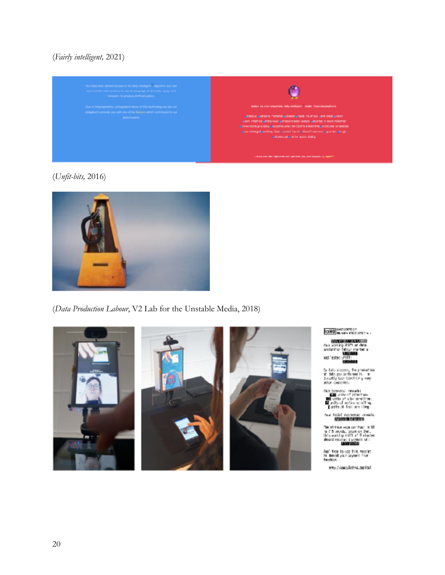# (*Fairly intelligent,* 2021)



## (*Unfit-bits,* 2016)



## (*Data Production Labour*, V2 Lab for the Unstable Media, 2018)







**IOHO** INSTITUTE OF

**MARIEM INTERNATIONAL STATE OF STATE OF STATE OF STATE OF STATE OF STATE OF STATE OF STATE OF STATE OF STATE OF STATE OF STATE OF STATE OF STATE OF STATE OF STATE OF STATE OF STATE OF STATE OF STATE OF STATE OF STATE OF ST** 

In this excess, the probation<br>of dela you sechannel is, in the sheetily tool band it<br>is  $\eta$  -say ster constrict.

functionates: results<br> $\frac{200}{1000}$  with of attention.<br> $\frac{100}{100}$  with of attentional line.<br> $\frac{10}{1000}$  and the first semiling.

has twist concentratives to:<br>**ATHERED CONTES** 

The minimum expansar binar in US<br>for 7.5 counts, board on that, USIs sorting diffit at 2 since<br>simulations as a population of a distribution of a distribution<br> $\sim$ 

Feel fire is use this receive:<br>In demonstrate segment from<br>Peophood,

iets //iseuktivuscital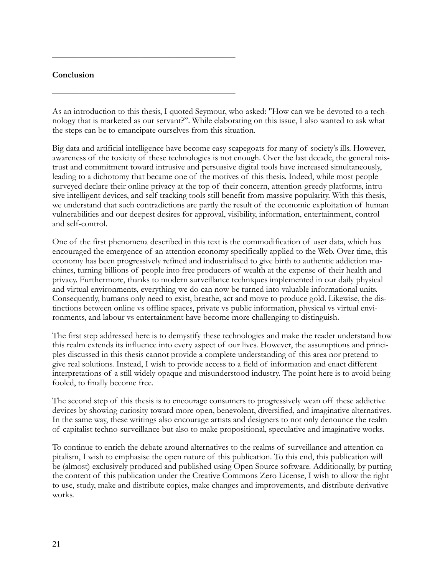#### **Conclusion**

 $\frac{1}{\sqrt{2}}$  , and the contract of the contract of the contract of the contract of the contract of the contract of the contract of the contract of the contract of the contract of the contract of the contract of the contra

 $\frac{1}{\sqrt{2}}$  , and the contract of the contract of the contract of the contract of the contract of the contract of the contract of the contract of the contract of the contract of the contract of the contract of the contra

As an introduction to this thesis, I quoted Seymour, who asked: "How can we be devoted to a technology that is marketed as our servant?". While elaborating on this issue, I also wanted to ask what the steps can be to emancipate ourselves from this situation.

Big data and artificial intelligence have become easy scapegoats for many of society's ills. However, awareness of the toxicity of these technologies is not enough. Over the last decade, the general mistrust and commitment toward intrusive and persuasive digital tools have increased simultaneously, leading to a dichotomy that became one of the motives of this thesis. Indeed, while most people surveyed declare their online privacy at the top of their concern, attention-greedy platforms, intrusive intelligent devices, and self-tracking tools still benefit from massive popularity. With this thesis, we understand that such contradictions are partly the result of the economic exploitation of human vulnerabilities and our deepest desires for approval, visibility, information, entertainment, control and self-control.

One of the first phenomena described in this text is the commodification of user data, which has encouraged the emergence of an attention economy specifically applied to the Web. Over time, this economy has been progressively refined and industrialised to give birth to authentic addiction machines, turning billions of people into free producers of wealth at the expense of their health and privacy. Furthermore, thanks to modern surveillance techniques implemented in our daily physical and virtual environments, everything we do can now be turned into valuable informational units. Consequently, humans only need to exist, breathe, act and move to produce gold. Likewise, the distinctions between online vs offline spaces, private vs public information, physical vs virtual environments, and labour vs entertainment have become more challenging to distinguish.

The first step addressed here is to demystify these technologies and make the reader understand how this realm extends its influence into every aspect of our lives. However, the assumptions and principles discussed in this thesis cannot provide a complete understanding of this area nor pretend to give real solutions. Instead, I wish to provide access to a field of information and enact different interpretations of a still widely opaque and misunderstood industry. The point here is to avoid being fooled, to finally become free.

The second step of this thesis is to encourage consumers to progressively wean off these addictive devices by showing curiosity toward more open, benevolent, diversified, and imaginative alternatives. In the same way, these writings also encourage artists and designers to not only denounce the realm of capitalist techno-surveillance but also to make propositional, speculative and imaginative works.

To continue to enrich the debate around alternatives to the realms of surveillance and attention capitalism, I wish to emphasise the open nature of this publication. To this end, this publication will be (almost) exclusively produced and published using Open Source software. Additionally, by putting the content of this publication under the Creative Commons Zero License, I wish to allow the right to use, study, make and distribute copies, make changes and improvements, and distribute derivative works.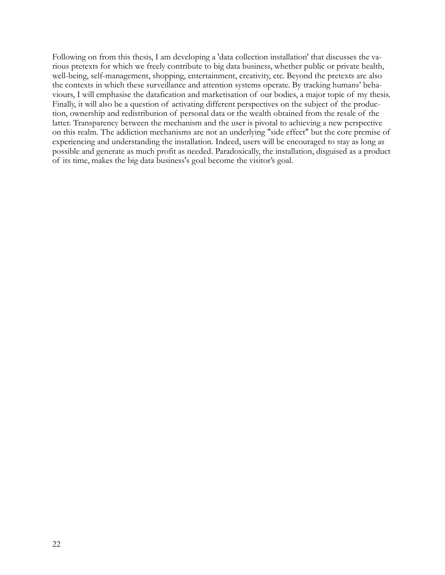Following on from this thesis, I am developing a 'data collection installation' that discusses the various pretexts for which we freely contribute to big data business, whether public or private health, well-being, self-management, shopping, entertainment, creativity, etc. Beyond the pretexts are also the contexts in which these surveillance and attention systems operate. By tracking humans' behaviours, I will emphasise the datafication and marketisation of our bodies, a major topic of my thesis. Finally, it will also be a question of activating different perspectives on the subject of the production, ownership and redistribution of personal data or the wealth obtained from the resale of the latter. Transparency between the mechanism and the user is pivotal to achieving a new perspective on this realm. The addiction mechanisms are not an underlying "side effect" but the core premise of experiencing and understanding the installation. Indeed, users will be encouraged to stay as long as possible and generate as much profit as needed. Paradoxically, the installation, disguised as a product of its time, makes the big data business's goal become the visitor's goal.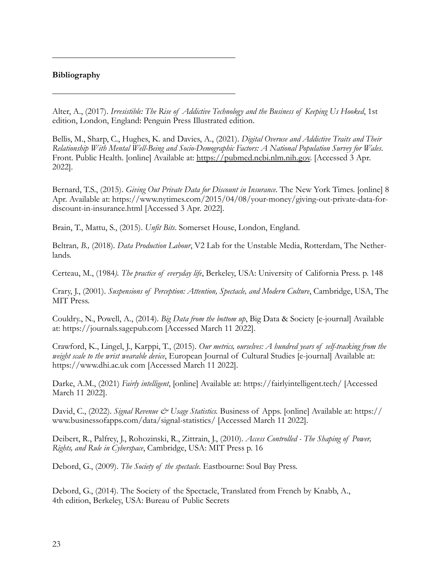#### **Bibliography**

Alter, A., (2017). *Irresistible: The Rise of Addictive Technology and the Business of Keeping Us Hooked*, 1st edition, London, England: Penguin Press Illustrated edition.

Bellis, M., Sharp, C., Hughes, K. and Davies, A., (2021). *Digital Overuse and Addictive Traits and Their Relationship With Mental Well-Being and Socio-Demographic Factors: A National Population Survey for Wales*. Front. Public Health. [online] Available at: [https://pubmed.ncbi.nlm.nih.gov.](https://pubmed.ncbi.nlm.nih.gov/) [Accessed 3 Apr. 2022].

Bernard, T.S., (2015). *Giving Out Private Data for Discount in Insurance*. The New York Times. [online] 8 Apr. Available at: https://www.nytimes.com/2015/04/08/your-money/giving-out-private-data-fordiscount-in-insurance.html [Accessed 3 Apr. 2022].

Brain, T., Mattu, S., (2015). *Unfit Bits*. Somerset House, London, England.

 $\frac{1}{\sqrt{2}}$  , and the contract of the contract of the contract of the contract of the contract of the contract of the contract of the contract of the contract of the contract of the contract of the contract of the contra

 $\frac{1}{\sqrt{2}}$  , and the contract of the contract of the contract of the contract of the contract of the contract of the contract of the contract of the contract of the contract of the contract of the contract of the contra

Beltran*, B.,* (2018). *Data Production Labour*, V2 Lab for the Unstable Media, Rotterdam, The Netherlands.

Certeau, M., (1984*). The practice of everyday life*, Berkeley, USA: University of California Press. p. 148

Crary, J., (2001). *Suspensions of Perception: Attention, Spectacle, and Modern Culture*, Cambridge, USA, The MIT Press.

Couldry., N., Powell, A., (2014). *Big Data from the bottom up*, Big Data & Society [e-journal] Available at: https://journals.sagepub.com [Accessed March 11 2022].

Crawford, K., Lingel, J., Karppi, T., (2015). *Our metrics, ourselves: A hundred years of self-tracking from the weight scale to the wrist wearable device*, European Journal of Cultural Studies [e-journal] Available at: https://www.dhi.ac.uk com [Accessed March 11 2022].

Darke, A.M., (2021) *Fairly intelligent*, [online] Available at: https://fairlyintelligent.tech/ [Accessed March 11 2022].

David, C., (2022). *Signal Revenue & Usage Statistics*. Business of Apps. [online] Available at: https:// www.businessofapps.com/data/signal-statistics/ [Accessed March 11 2022].

Deibert, R., Palfrey, J., Rohozinski, R., Zittrain, J., (2010). *Access Controlled - The Shaping of Power, Rights, and Rule in Cyberspace*, Cambridge, USA: MIT Press p. 16

Debord, G., (2009). *The Society of the spectacle*. Eastbourne: Soul Bay Press.

Debord, G., (2014). The Society of the Spectacle, Translated from French by Knabb, A., 4th edition, Berkeley, USA: Bureau of Public Secrets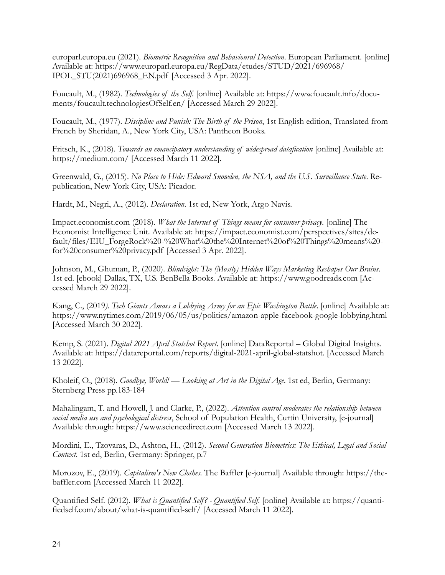europarl.europa.eu (2021). *Biometric Recognition and Behavioural Detection*. European Parliament. [online] Available at: https://www.europarl.europa.eu/RegData/etudes/STUD/2021/696968/ IPOL\_STU(2021)696968\_EN.pdf [Accessed 3 Apr. 2022].

Foucault, M., (1982). *Technologies of the Self*. [online] Available at: https://www.foucault.info/documents/foucault.technologiesOfSelf.en/ [Accessed March 29 2022].

Foucault, M., (1977). *Discipline and Punish: The Birth of the Prison*, 1st English edition, Translated from French by Sheridan, A., New York City, USA: Pantheon Books.

Fritsch, K., (2018). *Towards an emancipatory understanding of widespread datafication* [online] Available at: https://medium.com/ [Accessed March 11 2022].

Greenwald, G., (2015). *No Place to Hide: Edward Snowden, the NSA, and the U.S. Surveillance State*. Republication, New York City, USA: Picador.

Hardt, M., Negri, A., (2012). *Declaration*. 1st ed, New York, Argo Navis.

Impact.economist.com (2018). *What the Internet of Things means for consumer privacy*. [online] The Economist Intelligence Unit. Available at: https://impact.economist.com/perspectives/sites/default/files/EIU\_ForgeRock%20-%20What%20the%20Internet%20of%20Things%20means%20 for%20consumer%20privacy.pdf [Accessed 3 Apr. 2022].

Johnson, M., Ghuman, P., (2020). *Blindsight: The (Mostly) Hidden Ways Marketing Reshapes Our Brains*. 1st ed. [ebook] Dallas, TX, U.S. BenBella Books. Available at: https://www.goodreads.com [Accessed March 29 2022].

Kang, C., (2019*). Tech Giants Amass a Lobbying Army for an Epic Washington Battle*. [online] Available at: https://www.nytimes.com/2019/06/05/us/politics/amazon-apple-facebook-google-lobbying.html [Accessed March 30 2022].

Kemp, S. (2021). *Digital 2021 April Statshot Report*. [online] DataReportal – Global Digital Insights. Available at: https://datareportal.com/reports/digital-2021-april-global-statshot. [Accessed March 13 2022].

Kholeif, O., (2018). *Goodbye, World! — Looking at Art in the Digital Age*. 1st ed, Berlin, Germany: Sternberg Press pp.183-184

Mahalingam, T. and Howell, J. and Clarke, P., (2022). *Attention control moderates the relationship between social media use and psychological distress*, School of Population Health, Curtin University, [e-journal] Available through: https://www.sciencedirect.com [Accessed March 13 2022].

Mordini, E., Tzovaras, D., Ashton, H., (2012). *Second Generation Biometrics: The Ethical, Legal and Social Context*. 1st ed, Berlin, Germany: Springer, p.7

Morozov, E., (2019). *Capitalism's New Clothes*. The Baffler [e-journal] Available through: https://thebaffler.com [Accessed March 11 2022].

Quantified Self. (2012). *What is Quantified Self? - Quantified Self*. [online] Available at: https://quantifiedself.com/about/what-is-quantified-self/ [Accessed March 11 2022].